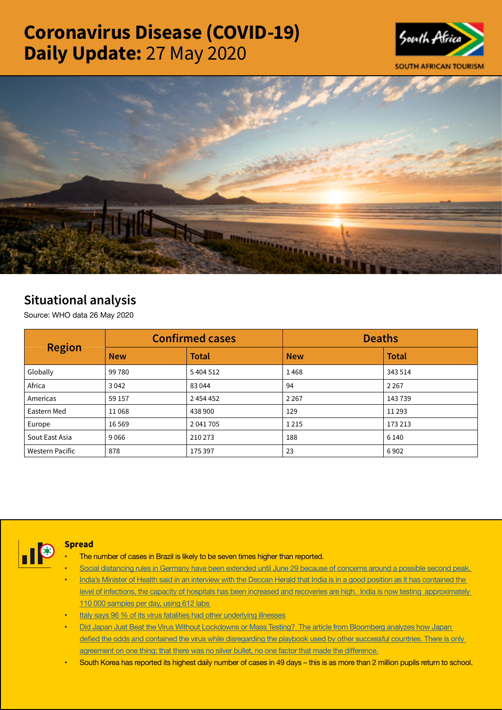# Coronavirus Disease (COVID-19) Daily Update: 27 May 2020





## Situational analysis

Source: WHO data 26 May 2020

| <b>Region</b>   |            | <b>Confirmed cases</b> | <b>Deaths</b> |              |  |
|-----------------|------------|------------------------|---------------|--------------|--|
|                 | <b>New</b> | <b>Total</b>           | <b>New</b>    | <b>Total</b> |  |
| Globally        | 99780      | 5404512                | 1468          | 343 514      |  |
| Africa          | 3 0 4 2    | 83044                  | 94            | 2 2 6 7      |  |
| Americas        | 59 157     | 2 4 5 4 4 5 2          | 2 2 6 7       | 143739       |  |
| Eastern Med     | 11068      | 438 900                | 129           | 11 2 9 3     |  |
| Europe          | 16 5 69    | 2 041 705              | 1 2 1 5       | 173 213      |  |
| Sout East Asia  | 9 0 6 6    | 210 273                | 188           | 6 1 4 0      |  |
| Western Pacific | 878        | 175 397                | 23            | 6902         |  |



#### Spread

- The number of cases in Brazil is likely to be seven times higher than reported.
- Social distancing rules in Germany have been extended until June 29 because of concerns around a possible second peak.
- India's Minister of Health said in an interview with the Deccan Herald that India is in a good position as it has contained the [level of infections, the capacity of hospitals has been increased and recoveries are high. India is now testing approximately](https://t.co/Kr0usw1LfN?amp=1)  [110 000 samples per day, using 612 labs](https://t.co/Kr0usw1LfN?amp=1)
- [Italy says 96 % of its virus fatalities had other underlying illnesses](https://t.co/iuu0eKWYDb?amp=1)
- Did Japan Just Beat the Virus Without Lockdowns or Mass Testing? The article from Bloomberg analyzes how Japan defied the odds and contained the virus while [disregarding](https://t.co/Uq9QDou5la?amp=1) the playbook used by other successful countries. There is only [agreement](https://t.co/Uq9QDou5la?amp=1) on one thing: that there was no silver bullet, no one factor that made the difference.
- South Korea has reported its highest daily number of cases in 49 days this is as more than 2 million pupils return to school.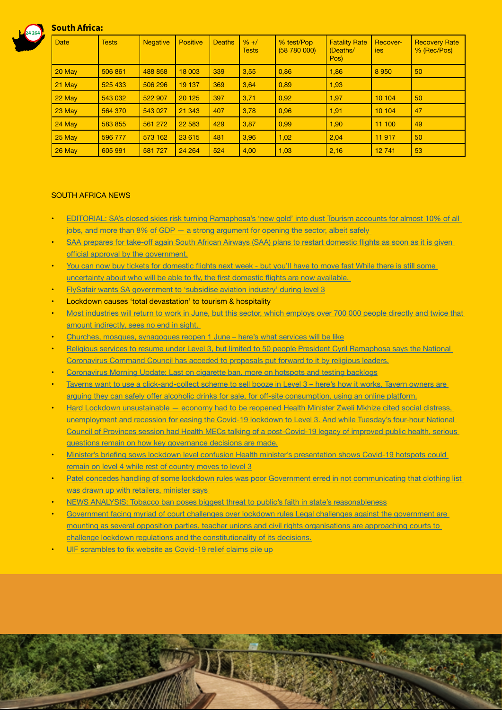

### South Africa:

| <b>Date</b> | <b>Tests</b> | <b>Negative</b> | <b>Positive</b> | <b>Deaths</b> | $% + /$<br><b>Tests</b> | % test/Pop<br>(58780000) | <b>Fatality Rate</b><br>(Deaths/<br>Pos) | Recover-<br><i>ies</i> | <b>Recovery Rate</b><br>% (Rec/Pos) |
|-------------|--------------|-----------------|-----------------|---------------|-------------------------|--------------------------|------------------------------------------|------------------------|-------------------------------------|
| 20 May      | 506 861      | 488 858         | 18 003          | 339           | 3,55                    | 0,86                     | 1,86                                     | 8950                   | 50                                  |
| 21 May      | 525 433      | 506 296         | 19 137          | 369           | 3,64                    | 0,89                     | 1,93                                     |                        |                                     |
| 22 May      | 543 032      | 522 907         | 20 1 25         | 397           | 3,71                    | 0,92                     | 1,97                                     | 10 104                 | 50                                  |
| 23 May      | 564 370      | 543 027         | 21 343          | 407           | 3,78                    | 0,96                     | 1,91                                     | 10 104                 | 47                                  |
| 24 May      | 583 855      | 561 272         | 22 5 83         | 429           | 3,87                    | 0,99                     | 1,90                                     | 11 100                 | 49                                  |
| 25 May      | 596 777      | 573 162         | 23 615          | 481           | 3.96                    | 1,02                     | 2,04                                     | 11 917                 | 50                                  |
| 26 May      | 605 991      | 581727          | 24 264          | 524           | 4,00                    | 1,03                     | 2,16                                     | 12741                  | 53                                  |

#### SOUTH AFRICA NEWS

- EDITORIAL: SA's closed skies risk turning Ramaphosa's 'new gold' into dust Tourism accounts for almost 10% of all jobs, and more than  $8\%$  of GDP  $-$  a strong argument for opening the sector, albeit safely
- SAA prepares for take-off again South African Airways (SAA) plans to restart [domestic](https://businesstech.co.za/news/business/401975/saa-prepares-for-take-off-again/) flights as soon as it is given official approval by the [government.](https://businesstech.co.za/news/business/401975/saa-prepares-for-take-off-again/)
- You can now buy tickets for [domestic](https://www.businessinsider.co.za/flight-tickets-available-from-june-1-2020-5) flights next week but you'll have to move fast While there is still some [uncertainty](https://www.businessinsider.co.za/flight-tickets-available-from-june-1-2020-5) about who will be able to fly, the first domestic flights are now available.
- [FlySafair wants SA government to 'subsidise aviation industry' during level 3](https://www.iol.co.za/travel/travel-news/flysafair-wants-sa-government-to-subsidise-aviation-industry-during-level-3-48561998)
- **Lockdown causes 'total devastation' to tourism & hospitality**
- Most industries will return to work in June, but this sector, which employs over 700 000 people directly and twice that [amount indirectly, sees no end in sight.](https://www.moneyweb.co.za/news/south-africa/lockdown-causes-total-devastation-to-tourism-and-hospitality/)
- [Churches, mosques, synagogues reopen 1 June here's what services will be like](https://www.businessinsider.co.za/what-religious-worship-will-be-like-under-level-3-2020-5)
- Religious services to resume under Level 3, but limited to 50 people President Cyril Ramaphosa says the National [Coronavirus Command Council has acceded to proposals put forward to it by religious leaders.](https://www.dailymaverick.co.za/article/2020-05-26-religious-services-to-resume-under-level-3-but-limited-to-50-people/)
- [Coronavirus Morning Update: Last on cigarette ban, more on hotspots and testing backlogs](https://www.health24.com/Medical/Infectious-diseases/Coronavirus/coronavirus-morning-update-latest-on-cigarette-ban-more-on-hotspots-and-testing-backlogs-20200527-3)
- Taverns want to use a click-and-collect scheme to sell booze in Level 3 here's how it works. Tavern owners are arguing they can safely offer alcoholic drinks for sale, for off-site [consumption,](https://www.businessinsider.co.za/how-the-click-and-collect-plan-for-booze-from-taverns-would-work-2020-5) using an online platform.
- Hard Lockdown unsustainable economy had to be reopened Health Minister Zweli Mkhize cited social distress, [unemployment and recession for easing the Covid-19 lockdown to Level 3. And while Tuesday's four-hour National](https://www.dailymaverick.co.za/article/2020-05-27-hard-lockdown-unsustainable-economy-had-to-be-re-opened/)  [Council of Provinces session had Health MECs talking of a post-Covid-19 legacy of improved public health, serious](https://www.dailymaverick.co.za/article/2020-05-27-hard-lockdown-unsustainable-economy-had-to-be-re-opened/)  [questions remain on how key governance decisions are made.](https://www.dailymaverick.co.za/article/2020-05-27-hard-lockdown-unsustainable-economy-had-to-be-re-opened/)
- • Minister's briefing sows lockdown level confusion Health minister's [presentation](https://www.businesslive.co.za/bd/national/health/2020-05-26-ministers-briefing-sows-lockdown-level-confusion/) shows Covid-19 hotspots could [remain on level 4 while rest of country moves to level 3](https://www.businesslive.co.za/bd/national/health/2020-05-26-ministers-briefing-sows-lockdown-level-confusion/)
- Patel concedes handling of some lockdown rules was poor Government erred in not communicating that clothing list [was drawn up with retailers, minister says](https://www.businesslive.co.za/bd/national/2020-05-26-patel-concedes-handling-of-some-lockdown-rules-was-poor/)
- [NEWS ANALYSIS: Tobacco ban poses biggest threat to public's faith in state's reasonableness](https://www.businesslive.co.za/bd/national/2020-05-27-news-analysis-tobacco-ban-poses-biggest-threat-to-publics-faith-in-states-reasonableness/)
- Government facing myriad of court challenges over lockdown rules Legal challenges against the government are [mounting as several opposition parties, teacher unions and civil rights organisations are approaching courts to](https://www.timeslive.co.za/news/south-africa/2020-05-27-government-facing-myriad-of-court-challenges-over-lockdown-rules/)  [challenge lockdown regulations and the constitutionality of its decisions.](https://www.timeslive.co.za/news/south-africa/2020-05-27-government-facing-myriad-of-court-challenges-over-lockdown-rules/)

UIF [scrambles](https://select.timeslive.co.za/news/2020-05-27-uif-scrambles-to-fix-website-as-covid-19-relief-claims-pile-up/) to fix website as Covid-19 relief claims pile up